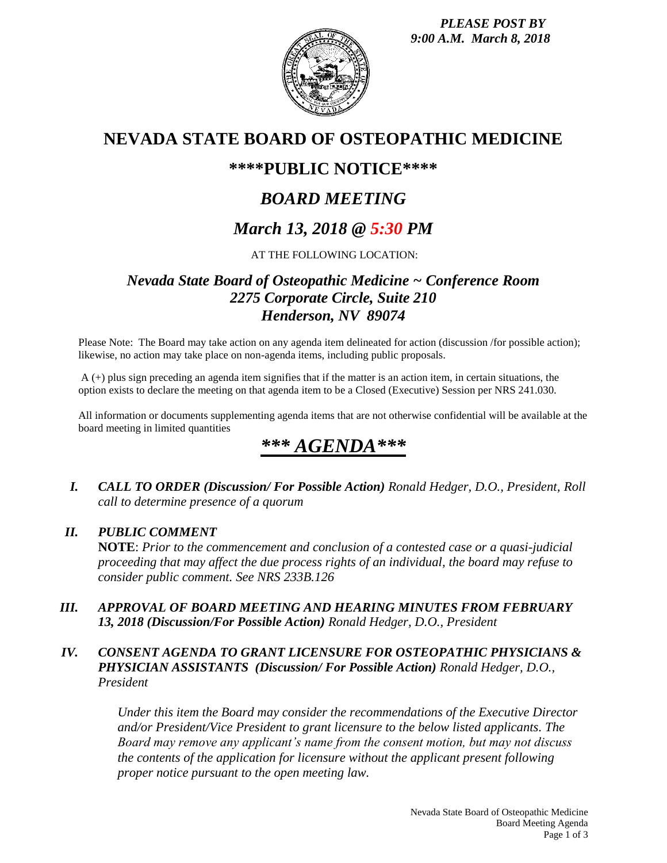

# **NEVADA STATE BOARD OF OSTEOPATHIC MEDICINE**

## **\*\*\*\*PUBLIC NOTICE\*\*\*\***

# *BOARD MEETING*

# *March 13, 2018 @ 5:30 PM*

### AT THE FOLLOWING LOCATION:

## *Nevada State Board of Osteopathic Medicine ~ Conference Room 2275 Corporate Circle, Suite 210 Henderson, NV 89074*

Please Note: The Board may take action on any agenda item delineated for action (discussion /for possible action); likewise, no action may take place on non-agenda items, including public proposals.

A (+) plus sign preceding an agenda item signifies that if the matter is an action item, in certain situations, the option exists to declare the meeting on that agenda item to be a Closed (Executive) Session per NRS 241.030.

All information or documents supplementing agenda items that are not otherwise confidential will be available at the board meeting in limited quantities

# *\*\*\* AGENDA\*\*\**

*I. CALL TO ORDER (Discussion/ For Possible Action) Ronald Hedger, D.O., President, Roll call to determine presence of a quorum*

### *II. PUBLIC COMMENT*

**NOTE**: *Prior to the commencement and conclusion of a contested case or a quasi-judicial proceeding that may affect the due process rights of an individual, the board may refuse to consider public comment. See NRS 233B.126*

*III. APPROVAL OF BOARD MEETING AND HEARING MINUTES FROM FEBRUARY 13, 2018 (Discussion/For Possible Action) Ronald Hedger, D.O., President*

### *IV. CONSENT AGENDA TO GRANT LICENSURE FOR OSTEOPATHIC PHYSICIANS & PHYSICIAN ASSISTANTS (Discussion/ For Possible Action) Ronald Hedger, D.O., President*

*Under this item the Board may consider the recommendations of the Executive Director and/or President/Vice President to grant licensure to the below listed applicants. The Board may remove any applicant's name from the consent motion, but may not discuss the contents of the application for licensure without the applicant present following proper notice pursuant to the open meeting law.*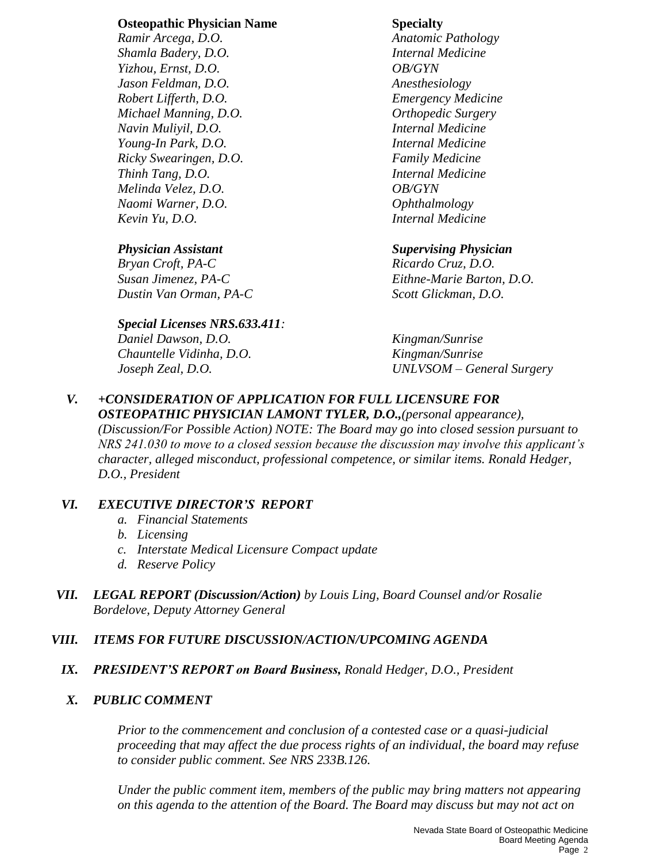### **Osteopathic Physician Name Specialty**

*Shamla Badery, D.O. Internal Medicine Yizhou, Ernst, D.O. OB/GYN Jason Feldman, D.O. Anesthesiology Robert Lifferth, D.O. Emergency Medicine Michael Manning, D.O. Orthopedic Surgery Navin Muliyil, D.O. Internal Medicine Young-In Park, D.O. Internal Medicine Ricky Swearingen, D.O. Family Medicine Thinh Tang, D.O. Internal Medicine Melinda Velez, D.O. OB/GYN Naomi Warner, D.O. Ophthalmology Kevin Yu, D.O. Internal Medicine*

*Bryan Croft, PA-C Ricardo Cruz, D.O. Dustin Van Orman, PA-C Scott Glickman, D.O.*

### *Special Licenses NRS.633.411:*

*Daniel Dawson, D.O. Kingman/Sunrise Chauntelle Vidinha, D.O. Kingman/Sunrise*

*Ramir Arcega, D.O. Anatomic Pathology*

### *Physician Assistant Supervising Physician*

*Susan Jimenez, PA-C Eithne-Marie Barton, D.O.*

*Joseph Zeal, D.O. UNLVSOM – General Surgery*

### *V. +CONSIDERATION OF APPLICATION FOR FULL LICENSURE FOR OSTEOPATHIC PHYSICIAN LAMONT TYLER, D.O.,(personal appearance),*

*(Discussion/For Possible Action) NOTE: The Board may go into closed session pursuant to NRS 241.030 to move to a closed session because the discussion may involve this applicant's character, alleged misconduct, professional competence, or similar items. Ronald Hedger, D.O., President* 

### *VI. EXECUTIVE DIRECTOR'S REPORT*

- *a. Financial Statements*
- *b. Licensing*
- *c. Interstate Medical Licensure Compact update*
- *d. Reserve Policy*
- *VII. LEGAL REPORT (Discussion/Action) by Louis Ling, Board Counsel and/or Rosalie Bordelove, Deputy Attorney General*

## *VIII. ITEMS FOR FUTURE DISCUSSION/ACTION/UPCOMING AGENDA*

*IX. PRESIDENT'S REPORT on Board Business, Ronald Hedger, D.O., President*

## *X. PUBLIC COMMENT*

*Prior to the commencement and conclusion of a contested case or a quasi-judicial proceeding that may affect the due process rights of an individual, the board may refuse to consider public comment. See NRS 233B.126.*

*Under the public comment item, members of the public may bring matters not appearing on this agenda to the attention of the Board. The Board may discuss but may not act on*